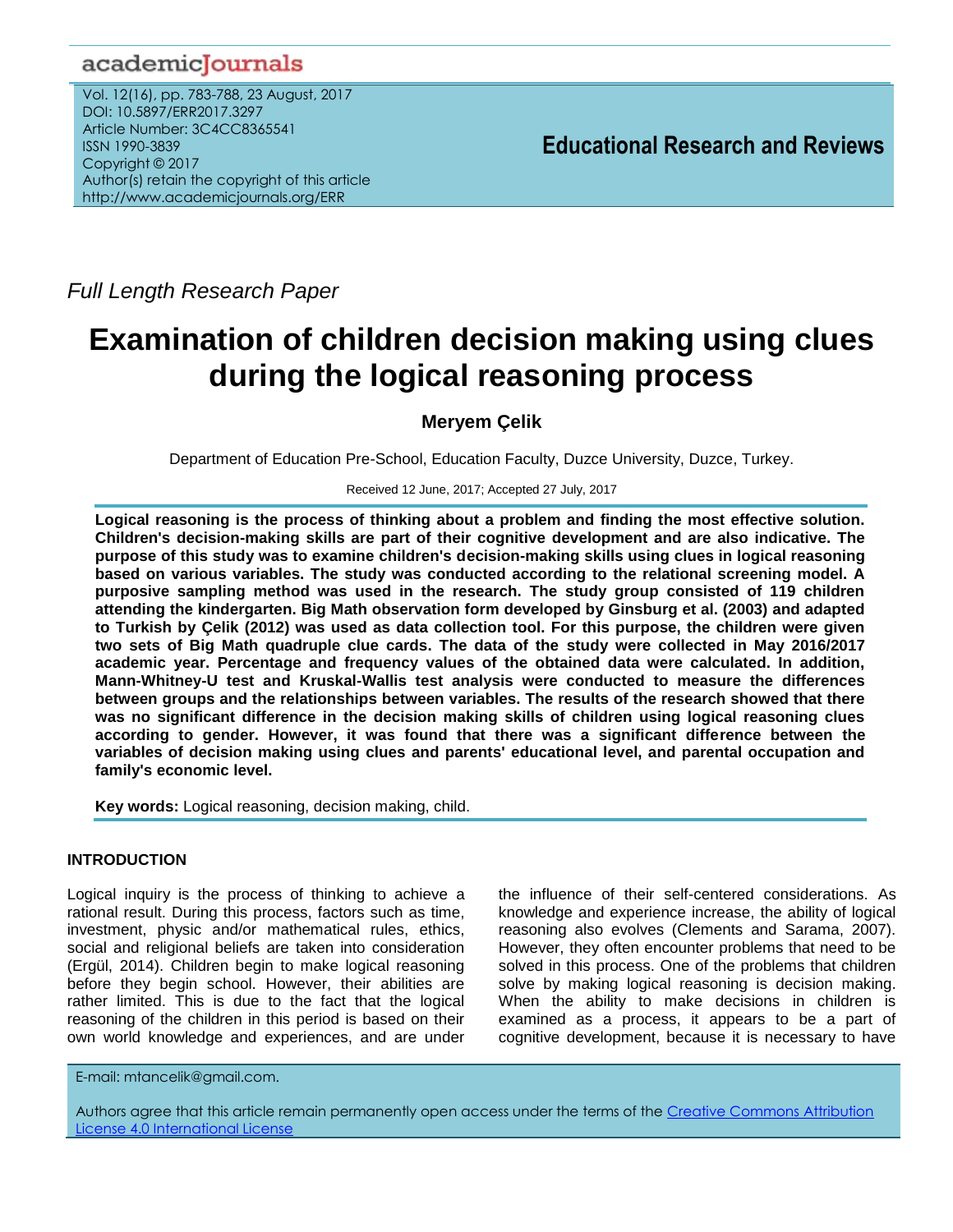# academicJournals

Vol. 12(16), pp. 783-788, 23 August, 2017 DOI: 10.5897/ERR2017.3297 Article Number: 3C4CC8365541 ISSN 1990-3839 Copyright © 2017 Author(s) retain the copyright of this article http://www.academicjournals.org/ERR

*Full Length Research Paper*

# **Examination of children decision making using clues during the logical reasoning process**

# **Meryem Çelik**

Department of Education Pre-School, Education Faculty, Duzce University, Duzce, Turkey.

Received 12 June, 2017; Accepted 27 July, 2017

**Logical reasoning is the process of thinking about a problem and finding the most effective solution. Children's decision-making skills are part of their cognitive development and are also indicative. The purpose of this study was to examine children's decision-making skills using clues in logical reasoning based on various variables. The study was conducted according to the relational screening model. A purposive sampling method was used in the research. The study group consisted of 119 children attending the kindergarten. Big Math observation form developed by Ginsburg et al. (2003) and adapted to Turkish by Çelik (2012) was used as data collection tool. For this purpose, the children were given two sets of Big Math quadruple clue cards. The data of the study were collected in May 2016/2017 academic year. Percentage and frequency values of the obtained data were calculated. In addition, Mann-Whitney-U test and Kruskal-Wallis test analysis were conducted to measure the differences between groups and the relationships between variables. The results of the research showed that there was no significant difference in the decision making skills of children using logical reasoning clues according to gender. However, it was found that there was a significant difference between the variables of decision making using clues and parents' educational level, and parental occupation and family's economic level.**

**Key words:** Logical reasoning, decision making, child.

# **INTRODUCTION**

Logical inquiry is the process of thinking to achieve a rational result. During this process, factors such as time, investment, physic and/or mathematical rules, ethics, social and religional beliefs are taken into consideration (Ergül, 2014). Children begin to make logical reasoning before they begin school. However, their abilities are rather limited. This is due to the fact that the logical reasoning of the children in this period is based on their own world knowledge and experiences, and are under the influence of their self-centered considerations. As knowledge and experience increase, the ability of logical reasoning also evolves (Clements and Sarama, 2007). However, they often encounter problems that need to be solved in this process. One of the problems that children solve by making logical reasoning is decision making. When the ability to make decisions in children is examined as a process, it appears to be a part of cognitive development, because it is necessary to have

E-mail: mtancelik@gmail.com.

Authors agree that this article remain permanently open access under the terms of the Creative Commons Attribution License 4.0 [International License](file://192.168.1.24/reading/Arts%20and%20Education/ERR/2014/sept/read/Correction%20Pdf%201/ERR-17.04.14-1816/Publication/Creative%20Co)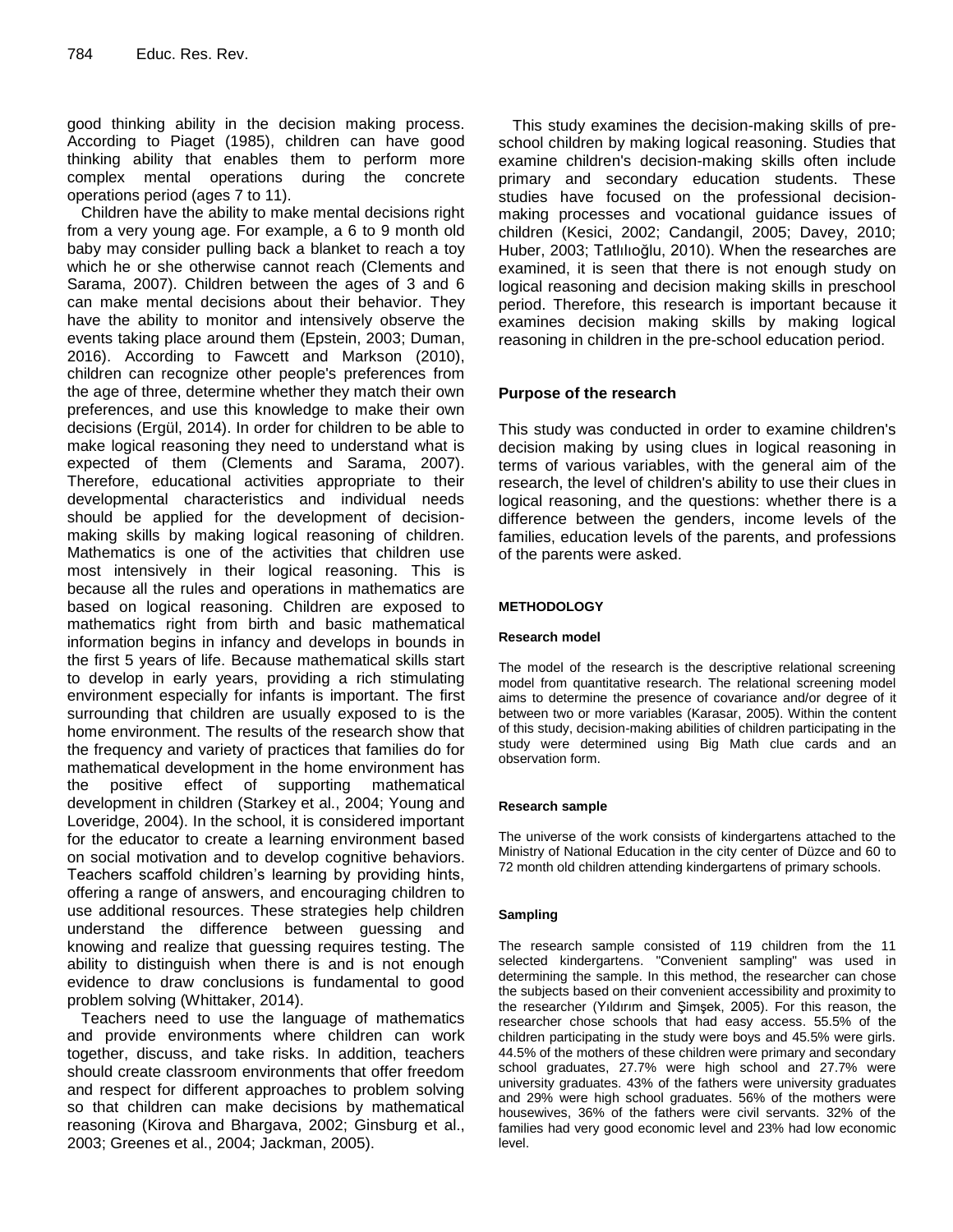good thinking ability in the decision making process. According to Piaget (1985), children can have good thinking ability that enables them to perform more complex mental operations during the concrete operations period (ages 7 to 11).

Children have the ability to make mental decisions right from a very young age. For example, a 6 to 9 month old baby may consider pulling back a blanket to reach a toy which he or she otherwise cannot reach (Clements and Sarama, 2007). Children between the ages of 3 and 6 can make mental decisions about their behavior. They have the ability to monitor and intensively observe the events taking place around them (Epstein, 2003; Duman, 2016). According to Fawcett and Markson (2010), children can recognize other people's preferences from the age of three, determine whether they match their own preferences, and use this knowledge to make their own decisions (Ergül, 2014). In order for children to be able to make logical reasoning they need to understand what is expected of them (Clements and Sarama, 2007). Therefore, educational activities appropriate to their developmental characteristics and individual needs should be applied for the development of decisionmaking skills by making logical reasoning of children. Mathematics is one of the activities that children use most intensively in their logical reasoning. This is because all the rules and operations in mathematics are based on logical reasoning. Children are exposed to mathematics right from birth and basic mathematical information begins in infancy and develops in bounds in the first 5 years of life. Because mathematical skills start to develop in early years, providing a rich stimulating environment especially for infants is important. The first surrounding that children are usually exposed to is the home environment. The results of the research show that the frequency and variety of practices that families do for mathematical development in the home environment has the positive effect of supporting mathematical development in children (Starkey et al., 2004; Young and Loveridge, 2004). In the school, it is considered important for the educator to create a learning environment based on social motivation and to develop cognitive behaviors. Teachers scaffold children's learning by providing hints, offering a range of answers, and encouraging children to use additional resources. These strategies help children understand the difference between guessing and knowing and realize that guessing requires testing. The ability to distinguish when there is and is not enough evidence to draw conclusions is fundamental to good problem solving (Whittaker, 2014).

Teachers need to use the language of mathematics and provide environments where children can work together, discuss, and take risks. In addition, teachers should create classroom environments that offer freedom and respect for different approaches to problem solving so that children can make decisions by mathematical reasoning (Kirova and Bhargava, 2002; Ginsburg et al., 2003; Greenes et al., 2004; Jackman, 2005).

This study examines the decision-making skills of preschool children by making logical reasoning. Studies that examine children's decision-making skills often include primary and secondary education students. These studies have focused on the professional decisionmaking processes and vocational guidance issues of children (Kesici, 2002; Candangil, 2005; Davey, 2010; Huber, 2003; Tatlılıoğlu, 2010). When the researches are examined, it is seen that there is not enough study on logical reasoning and decision making skills in preschool period. Therefore, this research is important because it examines decision making skills by making logical reasoning in children in the pre-school education period.

# **Purpose of the research**

This study was conducted in order to examine children's decision making by using clues in logical reasoning in terms of various variables, with the general aim of the research, the level of children's ability to use their clues in logical reasoning, and the questions: whether there is a difference between the genders, income levels of the families, education levels of the parents, and professions of the parents were asked.

# **METHODOLOGY**

## **Research model**

The model of the research is the descriptive relational screening model from quantitative research. The relational screening model aims to determine the presence of covariance and/or degree of it between two or more variables (Karasar, 2005). Within the content of this study, decision-making abilities of children participating in the study were determined using Big Math clue cards and an observation form.

## **Research sample**

The universe of the work consists of kindergartens attached to the Ministry of National Education in the city center of Düzce and 60 to 72 month old children attending kindergartens of primary schools.

## **Sampling**

The research sample consisted of 119 children from the 11 selected kindergartens. "Convenient sampling" was used in determining the sample. In this method, the researcher can chose the subjects based on their convenient accessibility and proximity to the researcher (Yıldırım and Şimşek, 2005). For this reason, the researcher chose schools that had easy access. 55.5% of the children participating in the study were boys and 45.5% were girls. 44.5% of the mothers of these children were primary and secondary school graduates, 27.7% were high school and 27.7% were university graduates. 43% of the fathers were university graduates and 29% were high school graduates. 56% of the mothers were housewives, 36% of the fathers were civil servants. 32% of the families had very good economic level and 23% had low economic level.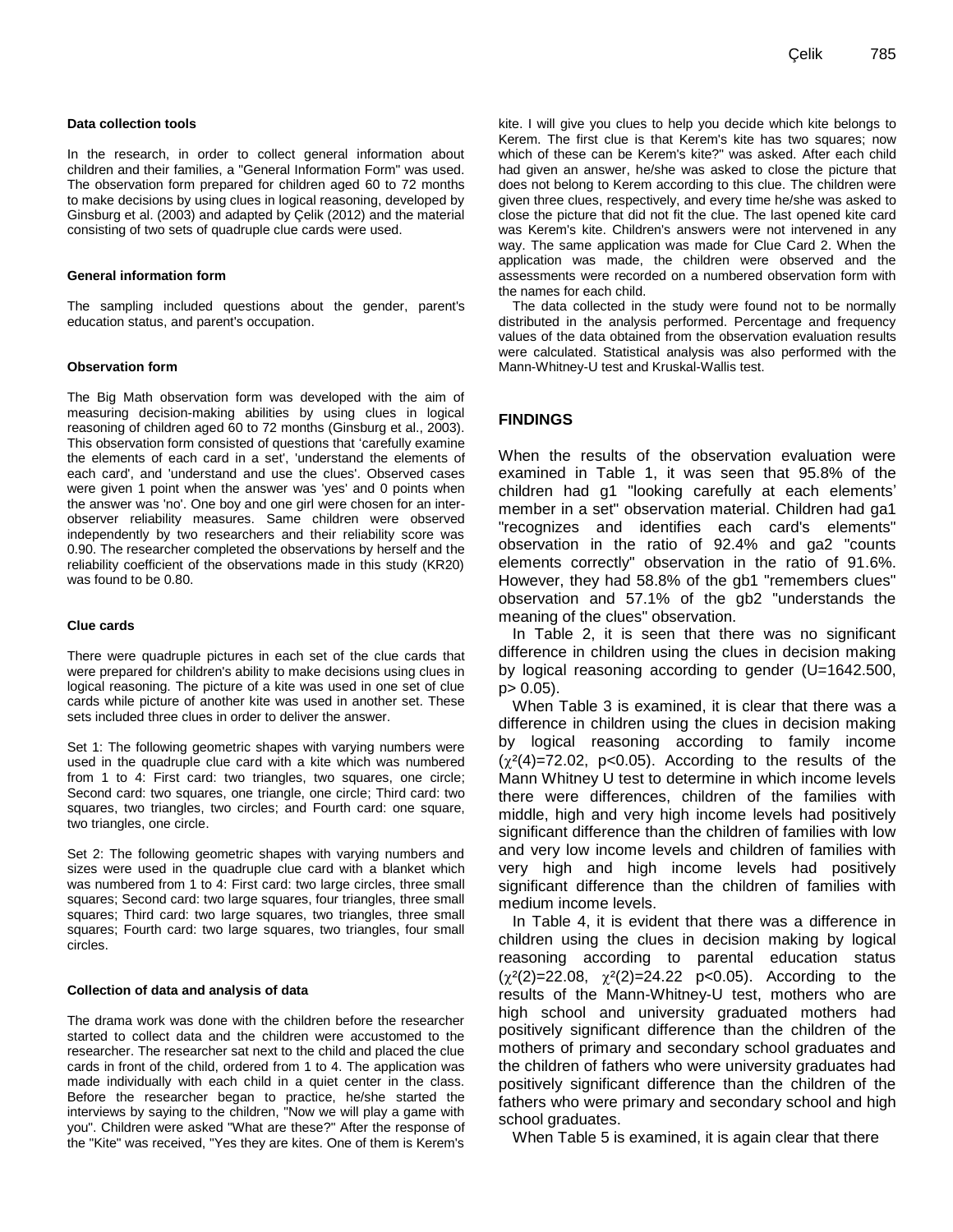#### **Data collection tools**

In the research, in order to collect general information about children and their families, a "General Information Form" was used. The observation form prepared for children aged 60 to 72 months to make decisions by using clues in logical reasoning, developed by Ginsburg et al. (2003) and adapted by Çelik (2012) and the material consisting of two sets of quadruple clue cards were used.

#### **General information form**

The sampling included questions about the gender, parent's education status, and parent's occupation.

#### **Observation form**

The Big Math observation form was developed with the aim of measuring decision-making abilities by using clues in logical reasoning of children aged 60 to 72 months (Ginsburg et al., 2003). This observation form consisted of questions that "carefully examine the elements of each card in a set', 'understand the elements of each card', and 'understand and use the clues'. Observed cases were given 1 point when the answer was 'yes' and 0 points when the answer was 'no'. One boy and one girl were chosen for an interobserver reliability measures. Same children were observed independently by two researchers and their reliability score was 0.90. The researcher completed the observations by herself and the reliability coefficient of the observations made in this study (KR20) was found to be 0.80.

#### **Clue cards**

There were quadruple pictures in each set of the clue cards that were prepared for children's ability to make decisions using clues in logical reasoning. The picture of a kite was used in one set of clue cards while picture of another kite was used in another set. These sets included three clues in order to deliver the answer.

Set 1: The following geometric shapes with varying numbers were used in the quadruple clue card with a kite which was numbered from 1 to 4: First card: two triangles, two squares, one circle; Second card: two squares, one triangle, one circle; Third card: two squares, two triangles, two circles; and Fourth card: one square, two triangles, one circle.

Set 2: The following geometric shapes with varying numbers and sizes were used in the quadruple clue card with a blanket which was numbered from 1 to 4: First card: two large circles, three small squares; Second card: two large squares, four triangles, three small squares; Third card: two large squares, two triangles, three small squares; Fourth card: two large squares, two triangles, four small circles.

#### **Collection of data and analysis of data**

The drama work was done with the children before the researcher started to collect data and the children were accustomed to the researcher. The researcher sat next to the child and placed the clue cards in front of the child, ordered from 1 to 4. The application was made individually with each child in a quiet center in the class. Before the researcher began to practice, he/she started the interviews by saying to the children, "Now we will play a game with you". Children were asked "What are these?" After the response of the "Kite" was received, "Yes they are kites. One of them is Kerem's kite. I will give you clues to help you decide which kite belongs to Kerem. The first clue is that Kerem's kite has two squares; now which of these can be Kerem's kite?" was asked. After each child had given an answer, he/she was asked to close the picture that does not belong to Kerem according to this clue. The children were given three clues, respectively, and every time he/she was asked to close the picture that did not fit the clue. The last opened kite card was Kerem's kite. Children's answers were not intervened in any way. The same application was made for Clue Card 2. When the application was made, the children were observed and the assessments were recorded on a numbered observation form with the names for each child.

The data collected in the study were found not to be normally distributed in the analysis performed. Percentage and frequency values of the data obtained from the observation evaluation results were calculated. Statistical analysis was also performed with the Mann-Whitney-U test and Kruskal-Wallis test.

# **FINDINGS**

When the results of the observation evaluation were examined in Table 1, it was seen that 95.8% of the children had g1 "looking carefully at each elements" member in a set" observation material. Children had ga1 "recognizes and identifies each card's elements" observation in the ratio of 92.4% and ga2 "counts elements correctly" observation in the ratio of 91.6%. However, they had 58.8% of the gb1 "remembers clues" observation and 57.1% of the gb2 "understands the meaning of the clues" observation.

In Table 2, it is seen that there was no significant difference in children using the clues in decision making by logical reasoning according to gender (U=1642.500, p> 0.05).

When Table 3 is examined, it is clear that there was a difference in children using the clues in decision making by logical reasoning according to family income  $(\chi^2(4)=72.02, \text{ p}<0.05)$ . According to the results of the Mann Whitney U test to determine in which income levels there were differences, children of the families with middle, high and very high income levels had positively significant difference than the children of families with low and very low income levels and children of families with very high and high income levels had positively significant difference than the children of families with medium income levels.

In Table 4, it is evident that there was a difference in children using the clues in decision making by logical reasoning according to parental education status  $(\chi^2(2)=22.08, \chi^2(2)=24.22 \text{ p}<0.05)$ . According to the results of the Mann-Whitney-U test, mothers who are high school and university graduated mothers had positively significant difference than the children of the mothers of primary and secondary school graduates and the children of fathers who were university graduates had positively significant difference than the children of the fathers who were primary and secondary school and high school graduates.

When Table 5 is examined, it is again clear that there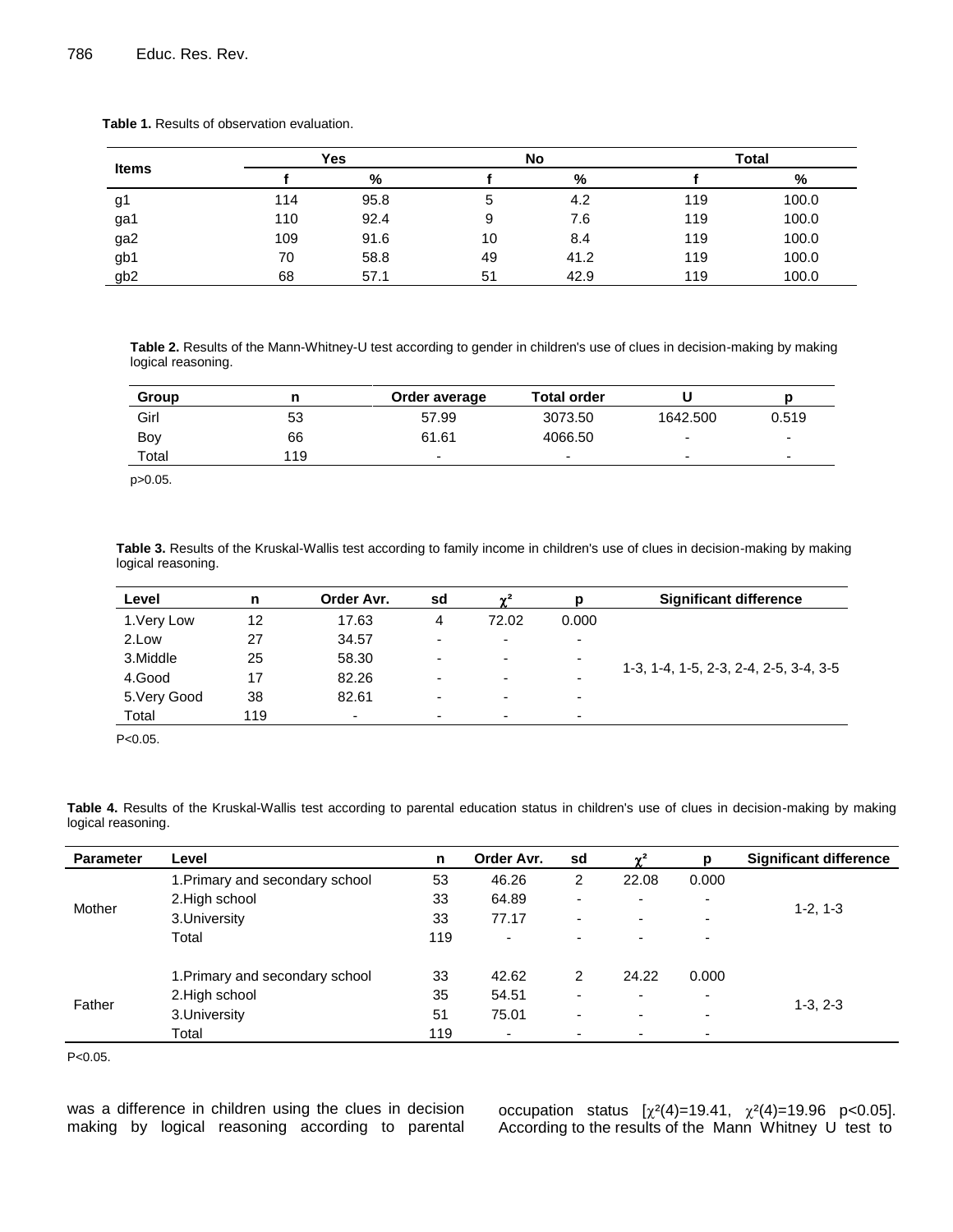| <b>Items</b>    | Yes |      |    | No   | <b>Total</b> |       |  |
|-----------------|-----|------|----|------|--------------|-------|--|
|                 |     | %    |    | %    |              | %     |  |
| g1              | 114 | 95.8 | 5  | 4.2  | 119          | 100.0 |  |
| ga1             | 110 | 92.4 | 9  | 7.6  | 119          | 100.0 |  |
| ga2             | 109 | 91.6 | 10 | 8.4  | 119          | 100.0 |  |
| gb1             | 70  | 58.8 | 49 | 41.2 | 119          | 100.0 |  |
| gb <sub>2</sub> | 68  | 57.1 | 51 | 42.9 | 119          | 100.0 |  |

**Table 1.** Results of observation evaluation.

**Table 2.** Results of the Mann-Whitney-U test according to gender in children's use of clues in decision-making by making logical reasoning.

| Group |     | Order average | <b>Total order</b>       |          |                          |
|-------|-----|---------------|--------------------------|----------|--------------------------|
| Girl  | 53  | 57.99         | 3073.50                  | 1642.500 | 0.519                    |
| Boy   | 66  | 61.61         | 4066.50                  |          | $\overline{\phantom{0}}$ |
| Total | 119 | -             | $\overline{\phantom{0}}$ |          | $\overline{\phantom{a}}$ |

p>0.05.

**Table 3.** Results of the Kruskal-Wallis test according to family income in children's use of clues in decision-making by making logical reasoning.

| Level        | n   | Order Avr.               | sd | $\sim$ <sup>2</sup>      | р                        | <b>Significant difference</b>          |
|--------------|-----|--------------------------|----|--------------------------|--------------------------|----------------------------------------|
| 1. Very Low  | 12  | 17.63                    | 4  | 72.02                    | 0.000                    |                                        |
| 2.Low        | 27  | 34.57                    | -  | -                        | $\overline{\phantom{0}}$ |                                        |
| 3.Middle     | 25  | 58.30                    | -  | $\overline{\phantom{0}}$ | $\overline{\phantom{0}}$ |                                        |
| 4.Good       | 17  | 82.26                    | -  |                          | $\overline{\phantom{0}}$ | 1-3, 1-4, 1-5, 2-3, 2-4, 2-5, 3-4, 3-5 |
| 5. Very Good | 38  | 82.61                    | -  | $\overline{\phantom{0}}$ | $\overline{\phantom{0}}$ |                                        |
| Total        | 119 | $\overline{\phantom{a}}$ | -  | $\overline{\phantom{0}}$ | $\overline{\phantom{0}}$ |                                        |

P<0.05.

**Table 4.** Results of the Kruskal-Wallis test according to parental education status in children's use of clues in decision-making by making logical reasoning.

| <b>Parameter</b> | Level                           | n   | Order Avr.               | sd                       | $\gamma^2$               | D                        | <b>Significant difference</b> |  |
|------------------|---------------------------------|-----|--------------------------|--------------------------|--------------------------|--------------------------|-------------------------------|--|
| Mother           | 1. Primary and secondary school | 53  | 46.26                    | 2                        | 22.08                    | 0.000                    |                               |  |
|                  | 2. High school                  | 33  | 64.89                    | $\overline{a}$           | $\overline{\phantom{0}}$ | $\overline{\phantom{a}}$ |                               |  |
|                  | 3.University                    | 33  | 77.17                    | $\overline{\phantom{0}}$ | $\overline{\phantom{0}}$ | $\overline{\phantom{0}}$ | $1-2, 1-3$                    |  |
|                  | Total                           | 119 | -                        | $\overline{\phantom{0}}$ | $\overline{\phantom{0}}$ | $\overline{\phantom{a}}$ |                               |  |
|                  | 1. Primary and secondary school | 33  | 42.62                    | 2                        | 24.22                    | 0.000                    |                               |  |
| Father           | 2. High school                  | 35  | 54.51                    | -                        | $\overline{\phantom{0}}$ | $\overline{\phantom{a}}$ |                               |  |
|                  | 3.University                    | 51  | 75.01                    | -                        | $\overline{\phantom{0}}$ | ۰                        | $1-3, 2-3$                    |  |
|                  | Total                           | 119 | $\overline{\phantom{0}}$ | $\overline{\phantom{0}}$ | $\overline{\phantom{0}}$ | $\overline{\phantom{0}}$ |                               |  |

P<0.05.

was a difference in children using the clues in decision making by logical reasoning according to parental occupation status  $[\chi^2(4)=19.41, \chi^2(4)=19.96 \text{ p} < 0.05]$ . According to the results of the Mann Whitney U test to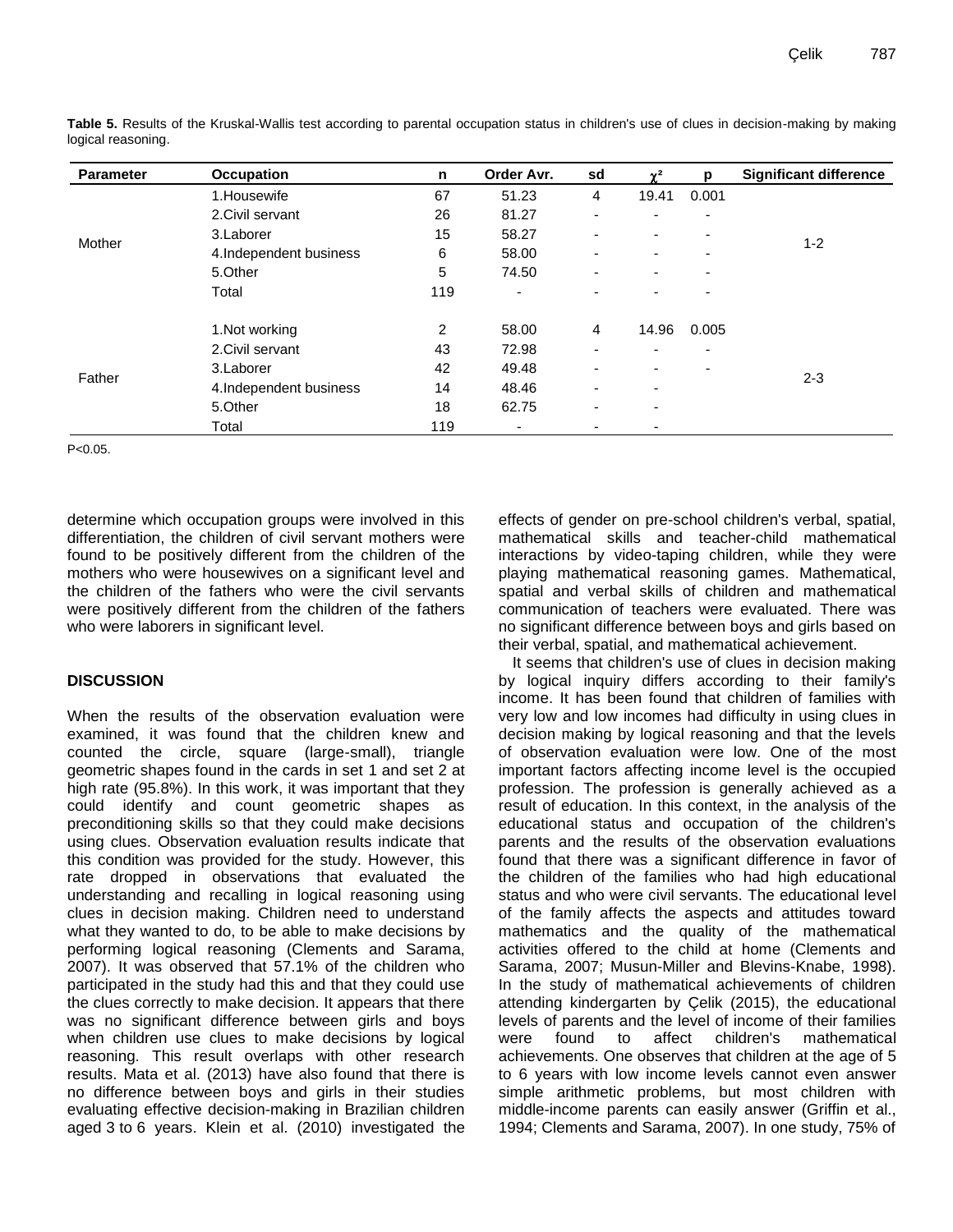| <b>Parameter</b> | <b>Occupation</b>      | n   | Order Avr. | sd                       | $\gamma^2$               | p                        | <b>Significant difference</b> |
|------------------|------------------------|-----|------------|--------------------------|--------------------------|--------------------------|-------------------------------|
| Mother           | 1. Housewife           | 67  | 51.23      | 4                        | 19.41                    | 0.001                    |                               |
|                  | 2. Civil servant       | 26  | 81.27      | $\overline{\phantom{0}}$ | -                        | $\overline{\phantom{0}}$ |                               |
|                  | 3.Laborer              | 15  | 58.27      |                          | $\overline{\phantom{0}}$ | ٠                        | $1 - 2$                       |
|                  | 4.Independent business | 6   | 58.00      |                          | $\overline{\phantom{0}}$ | -                        |                               |
|                  | 5.Other                | 5   | 74.50      |                          | $\overline{\phantom{0}}$ | ٠                        |                               |
|                  | Total                  | 119 | ۰          |                          |                          |                          |                               |
| Father           | 1. Not working         | 2   | 58.00      | 4                        | 14.96                    | 0.005                    |                               |
|                  | 2. Civil servant       | 43  | 72.98      | $\overline{\phantom{0}}$ | ۰                        | ۰                        |                               |
|                  | 3.Laborer              | 42  | 49.48      |                          | ۰                        | $\overline{\phantom{0}}$ |                               |
|                  | 4.Independent business | 14  | 48.46      |                          | ۰                        |                          | $2 - 3$                       |
|                  | 5.Other                | 18  | 62.75      | $\overline{\phantom{0}}$ | ٠                        |                          |                               |
|                  | Total                  | 119 | ۰          |                          | -                        |                          |                               |

**Table 5.** Results of the Kruskal-Wallis test according to parental occupation status in children's use of clues in decision-making by making logical reasoning.

 $P < 0.05$ .

determine which occupation groups were involved in this differentiation, the children of civil servant mothers were found to be positively different from the children of the mothers who were housewives on a significant level and the children of the fathers who were the civil servants were positively different from the children of the fathers who were laborers in significant level.

# **DISCUSSION**

When the results of the observation evaluation were examined, it was found that the children knew and counted the circle, square (large-small), triangle geometric shapes found in the cards in set 1 and set 2 at high rate (95.8%). In this work, it was important that they could identify and count geometric shapes as preconditioning skills so that they could make decisions using clues. Observation evaluation results indicate that this condition was provided for the study. However, this rate dropped in observations that evaluated the understanding and recalling in logical reasoning using clues in decision making. Children need to understand what they wanted to do, to be able to make decisions by performing logical reasoning (Clements and Sarama, 2007). It was observed that 57.1% of the children who participated in the study had this and that they could use the clues correctly to make decision. It appears that there was no significant difference between girls and boys when children use clues to make decisions by logical reasoning. This result overlaps with other research results. Mata et al. (2013) have also found that there is no difference between boys and girls in their studies evaluating effective decision-making in Brazilian children aged 3 to 6 years. Klein et al. (2010) investigated the

effects of gender on pre-school children's verbal, spatial, mathematical skills and teacher-child mathematical interactions by video-taping children, while they were playing mathematical reasoning games. Mathematical, spatial and verbal skills of children and mathematical communication of teachers were evaluated. There was no significant difference between boys and girls based on their verbal, spatial, and mathematical achievement.

It seems that children's use of clues in decision making by logical inquiry differs according to their family's income. It has been found that children of families with very low and low incomes had difficulty in using clues in decision making by logical reasoning and that the levels of observation evaluation were low. One of the most important factors affecting income level is the occupied profession. The profession is generally achieved as a result of education. In this context, in the analysis of the educational status and occupation of the children's parents and the results of the observation evaluations found that there was a significant difference in favor of the children of the families who had high educational status and who were civil servants. The educational level of the family affects the aspects and attitudes toward mathematics and the quality of the mathematical activities offered to the child at home (Clements and Sarama, 2007; Musun-Miller and Blevins-Knabe, 1998). In the study of mathematical achievements of children attending kindergarten by Çelik (2015), the educational levels of parents and the level of income of their families were found to affect children's mathematical achievements. One observes that children at the age of 5 to 6 years with low income levels cannot even answer simple arithmetic problems, but most children with middle-income parents can easily answer (Griffin et al., 1994; Clements and Sarama, 2007). In one study, 75% of